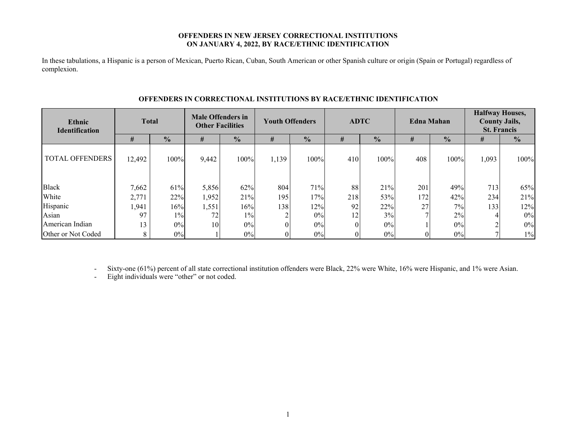## **OFFENDERS IN NEW JERSEY CORRECTIONAL INSTITUTIONS ON JANUARY 4, 2022, BY RACE/ETHNIC IDENTIFICATION**

In these tabulations, a Hispanic is a person of Mexican, Puerto Rican, Cuban, South American or other Spanish culture or origin (Spain or Portugal) regardless of complexion.

| Ethnic<br><b>Identification</b> | <b>Total</b> |               | <b>Male Offenders in</b><br><b>Other Facilities</b> |               | <b>Youth Offenders</b> |               | <b>ADTC</b> |               | <b>Edna Mahan</b> |               | <b>Halfway Houses,</b><br><b>County Jails,</b><br><b>St. Francis</b> |               |
|---------------------------------|--------------|---------------|-----------------------------------------------------|---------------|------------------------|---------------|-------------|---------------|-------------------|---------------|----------------------------------------------------------------------|---------------|
|                                 | #            | $\frac{0}{0}$ | #                                                   | $\frac{0}{0}$ | #                      | $\frac{0}{0}$ | $\#$        | $\frac{0}{0}$ | #                 | $\frac{0}{0}$ | #                                                                    | $\frac{0}{0}$ |
| <b>TOTAL OFFENDERS</b>          | 12,492       | 100%          | 9,442                                               | 100%          | 1,139                  | 100%          | 410         | 100%          | 408               | 100%          | 1,093                                                                | 100%          |
| <b>Black</b>                    | 7,662        | 61%           | 5,856                                               | 62%           | 804                    | 71%           | 88          | 21%           | 201               | 49%           | 713                                                                  | 65%           |
| White                           | 2,771        | 22%           | 1,952                                               | 21%           | 195                    | 17%           | 218         | 53%           | 172               | 42%           | 234                                                                  | 21%           |
| Hispanic                        | 1,941        | 16%           | 1,551                                               | 16%           | 138                    | 12%           | 92          | 22%           | 27                | 7%            | 133                                                                  | 12%           |
| Asian                           | 97           | $1\%$         | 72                                                  | $1\%$         | ◠                      | $0\%$         | 12          | 3%            |                   | 2%            |                                                                      | 0%            |
| American Indian                 | 13           | 0%            | 10                                                  | 0%            |                        | $0\%$         |             | 0%            |                   | 0%            |                                                                      | $0\%$         |
| Other or Not Coded              |              | $0\%$         |                                                     | 0%            |                        | $0\%$         |             | $0\%$         |                   | 0%            |                                                                      | $1\%$         |

## **OFFENDERS IN CORRECTIONAL INSTITUTIONS BY RACE/ETHNIC IDENTIFICATION**

-Sixty-one (61%) percent of all state correctional institution offenders were Black, 22% were White, 16% were Hispanic, and 1% were Asian.

-Eight individuals were "other" or not coded.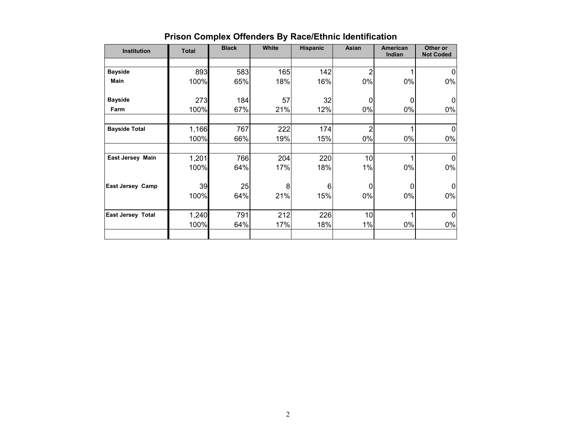| Prison Complex Orienters by Race/Editiic Identification |              |              |              |                 |              |                    |                              |  |  |
|---------------------------------------------------------|--------------|--------------|--------------|-----------------|--------------|--------------------|------------------------------|--|--|
| <b>Institution</b>                                      | <b>Total</b> | <b>Black</b> | <b>White</b> | <b>Hispanic</b> | Asian        | American<br>Indian | Other or<br><b>Not Coded</b> |  |  |
|                                                         |              |              |              |                 |              |                    |                              |  |  |
| <b>Bayside</b>                                          | 893          | 583          | 165          | 142             | 2            |                    | 0                            |  |  |
| Main                                                    | 100%         | 65%          | 18%          | 16%             | $0\%$        | 0%                 | $0\%$                        |  |  |
| <b>Bayside</b>                                          | 273          | 184          | 57           | 32              | 0            | 0                  | 0                            |  |  |
| Farm                                                    | 100%         | 67%          | 21%          | 12%             | 0%           | 0%                 | $0\%$                        |  |  |
| <b>Bayside Total</b>                                    | 1,166        | 767          | 222          | 174             | 2            |                    | $\Omega$                     |  |  |
|                                                         | 100%         | 66%          | 19%          | 15%             | 0%           | 0%                 | $0\%$                        |  |  |
| <b>East Jersey Main</b>                                 | 1,201        | 766          | 204          | 220             | 10           | 1                  | $\Omega$                     |  |  |
|                                                         | 100%         | 64%          | 17%          | 18%             | $1\%$        | 0%                 | $0\%$                        |  |  |
| <b>East Jersey Camp</b>                                 | 39           | 25           | 8            | 6               | $\mathbf{0}$ | 0                  | $\Omega$                     |  |  |
|                                                         | 100%         | 64%          | 21%          | 15%             | 0%           | 0%                 | $0\%$                        |  |  |
| East Jersey Total                                       | 1,240        | 791          | 212          | 226             | 10           | 1                  | 0                            |  |  |
|                                                         | 100%         | 64%          | 17%          | 18%             | 1%           | 0%                 | $0\%$                        |  |  |
|                                                         |              |              |              |                 |              |                    |                              |  |  |

# **Prison Complex Offenders By Race/Ethnic Identification**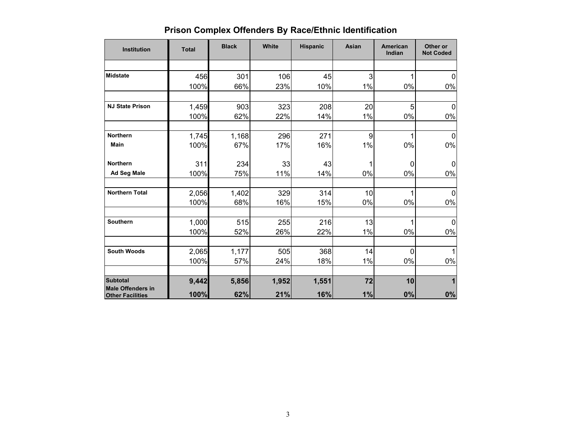|  | <b>Prison Complex Offenders By Race/Ethnic Identification</b> |
|--|---------------------------------------------------------------|
|--|---------------------------------------------------------------|

| <b>Institution</b>                                  | <b>Total</b> | <b>Black</b> | White | <b>Hispanic</b> | Asian | <b>American</b><br>Indian | Other or<br><b>Not Coded</b> |
|-----------------------------------------------------|--------------|--------------|-------|-----------------|-------|---------------------------|------------------------------|
|                                                     |              |              |       |                 |       |                           |                              |
| <b>Midstate</b>                                     | 456          | 301          | 106   | 45              | 3     |                           | $\Omega$                     |
|                                                     | 100%         | 66%          | 23%   | 10%             | $1\%$ | 0%                        | $0\%$                        |
| <b>NJ State Prison</b>                              | 1,459        | 903          | 323   | 208             | 20    | 5                         | 0                            |
|                                                     | 100%         | 62%          | 22%   | 14%             | 1%    | 0%                        | 0%                           |
| <b>Northern</b>                                     | 1,745        | 1,168        | 296   | 271             | 9     | 1                         | $\mathbf 0$                  |
| <b>Main</b>                                         | 100%         | 67%          | 17%   | 16%             | 1%    | 0%                        | 0%                           |
| <b>Northern</b>                                     | 311          | 234          | 33    | 43              | 1     | 0                         | 0                            |
| Ad Seg Male                                         | 100%         | 75%          | 11%   | 14%             | 0%    | 0%                        | 0%                           |
| <b>Northern Total</b>                               | 2,056        | 1,402        | 329   | 314             | 10    | 1                         | $\mathbf 0$                  |
|                                                     | 100%         | 68%          | 16%   | 15%             | 0%    | 0%                        | $0\%$                        |
| <b>Southern</b>                                     | 1,000        | 515          | 255   | 216             | 13    | 1                         | $\mathbf{0}$                 |
|                                                     | 100%         | 52%          | 26%   | 22%             | 1%    | 0%                        | 0%                           |
| <b>South Woods</b>                                  | 2,065        | 1,177        | 505   | 368             | 14    | 0                         |                              |
|                                                     | 100%         | 57%          | 24%   | 18%             | 1%    | 0%                        | $0\%$                        |
| <b>Subtotal</b>                                     | 9,442        | 5,856        | 1,952 | 1,551           | 72    | 10                        |                              |
| <b>Male Offenders in</b><br><b>Other Facilities</b> | 100%         | 62%          | 21%   | 16%             | 1%    | 0%                        | $0\%$                        |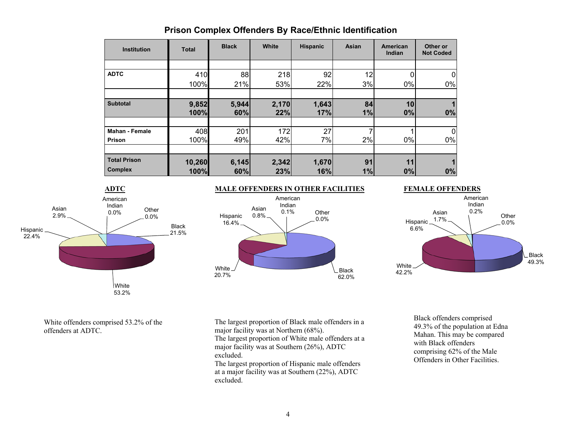| Institution           | <b>Total</b> | <b>Black</b> | White | <b>Hispanic</b> | Asian | <b>American</b><br>Indian | Other or<br><b>Not Coded</b> |
|-----------------------|--------------|--------------|-------|-----------------|-------|---------------------------|------------------------------|
|                       |              |              |       |                 |       |                           |                              |
| <b>ADTC</b>           | 410          | 88           | 218   | 92              | 12    |                           |                              |
|                       | 100%         | 21%          | 53%   | 22%             | 3%    | 0%                        | 0%                           |
|                       |              |              |       |                 |       |                           |                              |
| <b>Subtotal</b>       | 9,852        | 5,944        | 2,170 | 1,643           | 84    | 10                        |                              |
|                       | 100%         | 60%          | 22%   | 17%             | 1%    | 0%                        | 0%                           |
|                       |              |              |       |                 |       |                           |                              |
| <b>Mahan - Female</b> | 408          | 201          | 172   | 27              |       |                           |                              |
| <b>Prison</b>         | 100%         | 49%          | 42%   | 7%              | 2%    | 0%                        | 0%                           |
|                       |              |              |       |                 |       |                           |                              |
| <b>Total Prison</b>   | 10,260       | 6,145        | 2,342 | 1,670           | 91    | 11                        |                              |
| <b>Complex</b>        | 100%         | 60%          | 23%   | 16%             | 1%    | 0%                        | 0%                           |







White. 20.7%







The largest proportion of Black male offenders in a major facility was at Northern (68%).

Black62.0%

The largest proportion of White male offenders at a major facility was at Southern (26%), ADTC excluded.

The largest proportion of Hispanic male offenders at a major facility was at Southern (22%), ADTC excluded.

Black offenders comprised 49.3% of the population at Edna Mahan. This may be compared with Black offenders comprising 62% of the Male Offenders in Other Facilities.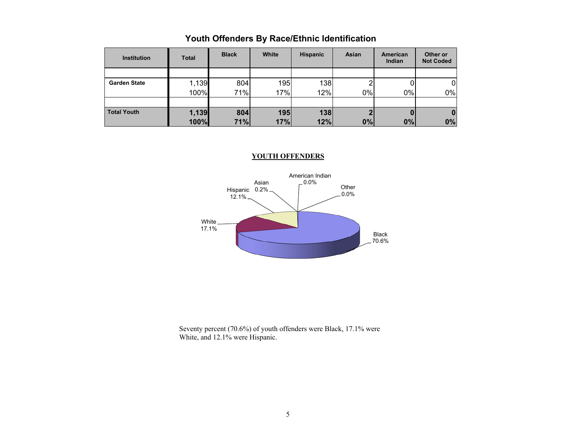| <b>Institution</b>  | Total | <b>Black</b> | White | <b>Hispanic</b> | Asian | <b>American</b><br><b>Indian</b> | Other or<br><b>Not Coded</b> |
|---------------------|-------|--------------|-------|-----------------|-------|----------------------------------|------------------------------|
|                     |       |              |       |                 |       |                                  |                              |
| <b>Garden State</b> | 1,139 | 804          | 195   | 138             | 2     |                                  | 0                            |
|                     | 100%  | 71%          | 17%   | 12%             | 0%    | 0%                               | 0%                           |
|                     |       |              |       |                 |       |                                  |                              |
| <b>Total Youth</b>  | 1,139 | 804          | 195   | 138             |       |                                  |                              |
|                     | 100%  | 71%          | 17%   | 12%             | 0%    | 0%                               | 0%                           |

## **Youth Offenders By Race/Ethnic Identification**

### **YOUTH OFFENDERS**



Seventy percent (70.6%) of youth offenders were Black, 17.1% were White, and 12.1% were Hispanic.